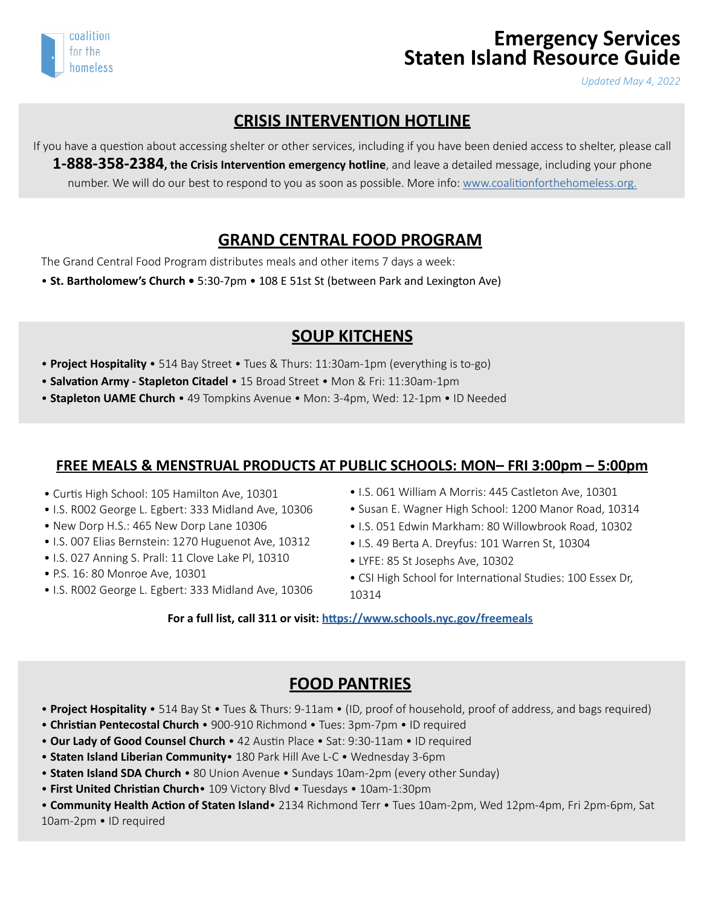

# **Emergency Services Staten Island Resource Guide**

*Updated May 4, 2022*

#### **CRISIS INTERVENTION HOTLINE**

If you have a question about accessing shelter or other services, including if you have been denied access to shelter, please call **1-888-358-2384, the Crisis Intervention emergency hotline**, and leave a detailed message, including your phone number. We will do our best to respond to you as soon as possible. More info: [www.coalitionforthehomeless.org.](http://www.coalitionforthehomeless.org)

#### **GRAND CENTRAL FOOD PROGRAM**

The Grand Central Food Program distributes meals and other items 7 days a week:

• **St. Bartholomew's Church •** 5:30-7pm • 108 E 51st St (between Park and Lexington Ave)

#### **SOUP KITCHENS**

- **Project Hospitality** 514 Bay Street Tues & Thurs: 11:30am-1pm (everything is to-go)
- **Salvation Army Stapleton Citadel** 15 Broad Street Mon & Fri: 11:30am-1pm
- **Stapleton UAME Church**  49 Tompkins Avenue Mon: 3-4pm, Wed: 12-1pm ID Needed

#### **FREE MEALS & MENSTRUAL PRODUCTS AT PUBLIC SCHOOLS: MON– FRI 3:00pm – 5:00pm**

- Curtis High School: 105 Hamilton Ave, 10301
- I.S. R002 George L. Egbert: 333 Midland Ave, 10306
- New Dorp H.S.: 465 New Dorp Lane 10306
- I.S. 007 Elias Bernstein: 1270 Huguenot Ave, 10312
- I.S. 027 Anning S. Prall: 11 Clove Lake Pl, 10310
- P.S. 16: 80 Monroe Ave, 10301
- I.S. R002 George L. Egbert: 333 Midland Ave, 10306
- I.S. 061 William A Morris: 445 Castleton Ave, 10301
- Susan E. Wagner High School: 1200 Manor Road, 10314
- I.S. 051 Edwin Markham: 80 Willowbrook Road, 10302
- I.S. 49 Berta A. Dreyfus: 101 Warren St, 10304
- LYFE: 85 St Josephs Ave, 10302
- CSI High School for International Studies: 100 Essex Dr, 10314
- **For a full list, call 311 or visit: <https://www.schools.nyc.gov/freemeals>**

#### **FOOD PANTRIES**

- **Project Hospitality**  514 Bay St Tues & Thurs: 9-11am (ID, proof of household, proof of address, and bags required)
- **Christian Pentecostal Church**  900-910 Richmond Tues: 3pm-7pm ID required
- **Our Lady of Good Counsel Church** 42 Austin Place Sat: 9:30-11am ID required
- **Staten Island Liberian Community** 180 Park Hill Ave L-C Wednesday 3-6pm
- **Staten Island SDA Church** 80 Union Avenue Sundays 10am-2pm (every other Sunday)
- **First United Christian Church** 109 Victory Blvd Tuesdays 10am-1:30pm

• **Community Health Action of Staten Island**• 2134 Richmond Terr • Tues 10am-2pm, Wed 12pm-4pm, Fri 2pm-6pm, Sat 10am-2pm • ID required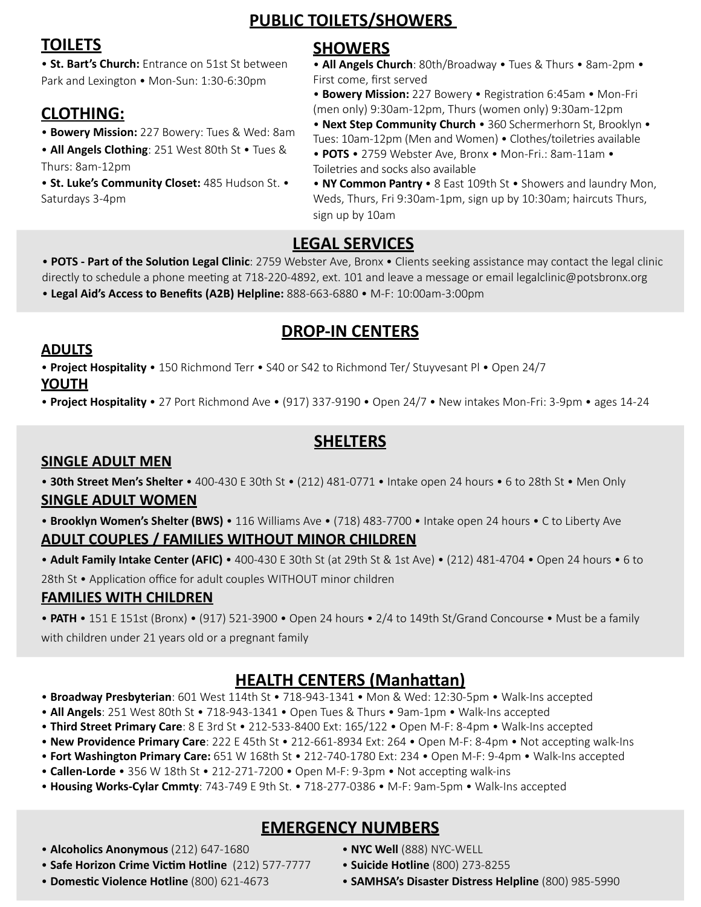**TOILETS** • **St. Bart's Church:** Entrance on 51st St between

## Park and Lexington • Mon-Sun: 1:30-6:30pm

## **CLOTHING:**

- **Bowery Mission:** 227 Bowery: Tues & Wed: 8am
- **All Angels Clothing**: 251 West 80th St Tues & Thurs: 8am-12pm
- **St. Luke's Community Closet:** 485 Hudson St. Saturdays 3-4pm

## **SHOWERS**

**PUBLIC TOILETS/SHOWERS** 

• **All Angels Church**: 80th/Broadway • Tues & Thurs • 8am-2pm • First come, first served

• **Bowery Mission:** 227 Bowery • Registration 6:45am • Mon-Fri (men only) 9:30am-12pm, Thurs (women only) 9:30am-12pm

• **Next Step Community Church** • 360 Schermerhorn St, Brooklyn • Tues: 10am-12pm (Men and Women) • Clothes/toiletries available

- • **POTS**  2759 Webster Ave, Bronx Mon-Fri.: 8am-11am Toiletries and socks also available
- • **NY Common Pantry**  8 East 109th St Showers and laundry Mon, Weds, Thurs, Fri 9:30am-1pm, sign up by 10:30am; haircuts Thurs, sign up by 10am

## **LEGAL SERVICES**

• **POTS - Part of the Solution Legal Clinic**: 2759 Webster Ave, Bronx • Clients seeking assistance may contact the legal clinic directly to schedule a phone meeting at 718-220-4892, ext. 101 and leave a message or email legalclinic@potsbronx.org • **Legal Aid's Access to Benefits (A2B) Helpline:** 888-663-6880 • M-F: 10:00am-3:00pm

## **DROP-IN CENTERS**

#### **ADULTS**

• **Project Hospitality** • 150 Richmond Terr • S40 or S42 to Richmond Ter/ Stuyvesant Pl • Open 24/7 **YOUTH**

• **Project Hospitality** • 27 Port Richmond Ave • (917) 337-9190 • Open 24/7 • New intakes Mon-Fri: 3-9pm • ages 14-24

### **SHELTERS**

#### **SINGLE ADULT MEN**

• **30th Street Men's Shelter** • 400-430 E 30th St • (212) 481-0771 • Intake open 24 hours • 6 to 28th St • Men Only

#### **SINGLE ADULT WOMEN**

• **Brooklyn Women's Shelter (BWS)** • 116 Williams Ave • (718) 483-7700 • Intake open 24 hours • C to Liberty Ave **ADULT COUPLES / FAMILIES WITHOUT MINOR CHILDREN**

• **Adult Family Intake Center (AFIC)** • 400-430 E 30th St (at 29th St & 1st Ave) • (212) 481-4704 • Open 24 hours • 6 to 28th St • Application office for adult couples WITHOUT minor children

#### **FAMILIES WITH CHILDREN**

• **PATH** • 151 E 151st (Bronx) • (917) 521-3900 • Open 24 hours • 2/4 to 149th St/Grand Concourse • Must be a family with children under 21 years old or a pregnant family

## **HEALTH CENTERS (Manhattan)**

• **Broadway Presbyterian**: 601 West 114th St • 718-943-1341 • Mon & Wed: 12:30-5pm • Walk-Ins accepted

- • **All Angels**: 251 West 80th St 718-943-1341 Open Tues & Thurs 9am-1pm Walk-Ins accepted
- • **Third Street Primary Care**: 8 E 3rd St 212-533-8400 Ext: 165/122 Open M-F: 8-4pm Walk-Ins accepted
- • **New Providence Primary Care**: 222 E 45th St 212-661-8934 Ext: 264 Open M-F: 8-4pm Not accepting walk-Ins
- **Fort Washington Primary Care:** 651 W 168th St 212-740-1780 Ext: 234 Open M-F: 9-4pm Walk-Ins accepted
- **Callen-Lorde** 356 W 18th St 212-271-7200 Open M-F: 9-3pm Not accepting walk-ins
- **Housing Works-Cylar Cmmty**: 743-749 E 9th St. 718-277-0386 M-F: 9am-5pm Walk-Ins accepted

## **EMERGENCY NUMBERS**

- **Alcoholics Anonymous** (212) 647-1680
- **Safe Horizon Crime Victim Hotline** (212) 577-7777
- **Domestic Violence Hotline** (800) 621-4673
- **NYC Well** (888) NYC-WELL
- • **Suicide Hotline** (800) 273-8255
- **SAMHSA's Disaster Distress Helpline** (800) 985-5990